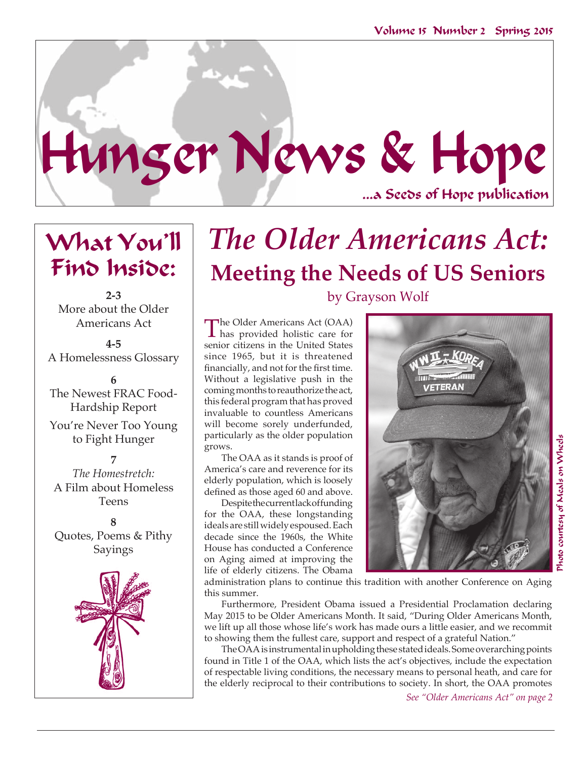

# What You'll Find Inside:

**2-3** More about the Older Americans Act

**4-5** A Homelessness Glossary

**6** The Newest FRAC Food-Hardship Report

You're Never Too Young to Fight Hunger

**7** *The Homestretch:*  A Film about Homeless Teens

**8** Quotes, Poems & Pithy Sayings



# *The Older Americans Act:*  **Meeting the Needs of US Seniors** by Grayson Wolf

The Older Americans Act (OAA) has provided holistic care for senior citizens in the United States since 1965, but it is threatened financially, and not for the first time. Without a legislative push in the coming months to reauthorize the act, this federal program that has proved invaluable to countless Americans will become sorely underfunded, particularly as the older population grows.

The OAA as it stands is proof of America's care and reverence for its elderly population, which is loosely defined as those aged 60 and above.

Despite the current lack of funding for the OAA, these longstanding ideals are still widely espoused. Each decade since the 1960s, the White House has conducted a Conference on Aging aimed at improving the life of elderly citizens. The Obama



administration plans to continue this tradition with another Conference on Aging this summer.

Furthermore, President Obama issued a Presidential Proclamation declaring May 2015 to be Older Americans Month. It said, "During Older Americans Month, we lift up all those whose life's work has made ours a little easier, and we recommit to showing them the fullest care, support and respect of a grateful Nation."

The OAA is instrumental in upholding these stated ideals. Some overarching points found in Title 1 of the OAA, which lists the act's objectives, include the expectation of respectable living conditions, the necessary means to personal heath, and care for the elderly reciprocal to their contributions to society. In short, the OAA promotes

*See "Older Americans Act" on page 2*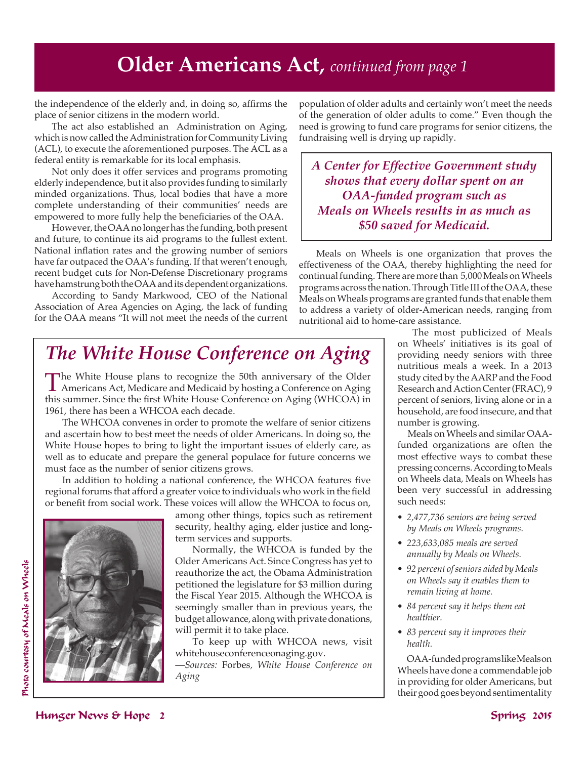### **Older Americans Act,** *continued from page 1*

the independence of the elderly and, in doing so, affirms the place of senior citizens in the modern world.

The act also established an Administration on Aging, which is now called the Administration for Community Living (ACL), to execute the aforementioned purposes. The ACL as a federal entity is remarkable for its local emphasis.

Not only does it offer services and programs promoting elderly independence, but it also provides funding to similarly minded organizations. Thus, local bodies that have a more complete understanding of their communities' needs are empowered to more fully help the beneficiaries of the OAA.

However, the OAA no longer has the funding, both present and future, to continue its aid programs to the fullest extent. National inflation rates and the growing number of seniors have far outpaced the OAA's funding. If that weren't enough, recent budget cuts for Non-Defense Discretionary programs have hamstrung both the OAA and its dependent organizations.

According to Sandy Markwood, CEO of the National Association of Area Agencies on Aging, the lack of funding for the OAA means "It will not meet the needs of the current population of older adults and certainly won't meet the needs of the generation of older adults to come." Even though the need is growing to fund care programs for senior citizens, the fundraising well is drying up rapidly.

*A Center for Effective Government study shows that every dollar spent on an OAA-funded program such as Meals on Wheels results in as much as \$50 saved for Medicaid.* 

Meals on Wheels is one organization that proves the effectiveness of the OAA, thereby highlighting the need for continual funding. There are more than 5,000 Meals on Wheels programs across the nation. Through Title III of the OAA, these Meals on Wheals programs are granted funds that enable them to address a variety of older-American needs, ranging from nutritional aid to home-care assistance.

## *The White House Conference on Aging*

The White House plans to recognize the 50th anniversary of the Older Americans Act, Medicare and Medicaid by hosting a Conference on Aging this summer. Since the first White House Conference on Aging (WHCOA) in 1961, there has been a WHCOA each decade.

The WHCOA convenes in order to promote the welfare of senior citizens and ascertain how to best meet the needs of older Americans. In doing so, the White House hopes to bring to light the important issues of elderly care, as well as to educate and prepare the general populace for future concerns we must face as the number of senior citizens grows.

In addition to holding a national conference, the WHCOA features five regional forums that afford a greater voice to individuals who work in the field or benefit from social work. These voices will allow the WHCOA to focus on,



among other things, topics such as retirement security, healthy aging, elder justice and longterm services and supports.

Normally, the WHCOA is funded by the Older Americans Act. Since Congress has yet to reauthorize the act, the Obama Administration petitioned the legislature for \$3 million during the Fiscal Year 2015. Although the WHCOA is seemingly smaller than in previous years, the budget allowance, along with private donations, will permit it to take place.

To keep up with WHCOA news, visit whitehouseconferenceonaging.gov.

—*Sources:* Forbes*, White House Conference on Aging* 

 The most publicized of Meals on Wheels' initiatives is its goal of providing needy seniors with three nutritious meals a week. In a 2013 study cited by the AARP and the Food Research and Action Center (FRAC), 9 percent of seniors, living alone or in a household, are food insecure, and that number is growing.

 Meals on Wheels and similar OAAfunded organizations are often the most effective ways to combat these pressing concerns. According to Meals on Wheels data, Meals on Wheels has been very successful in addressing such needs:

- *2,477,736 seniors are being served by Meals on Wheels programs.*
- *223,633,085 meals are served annually by Meals on Wheels.*
- *92 percent of seniors aided by Meals on Wheels say it enables them to remain living at home.*
- *84 percent say it helps them eat healthier.*
- *83 percent say it improves their health.*

 OAA-funded programs like Meals on Wheels have done a commendable job in providing for older Americans, but their good goes beyond sentimentality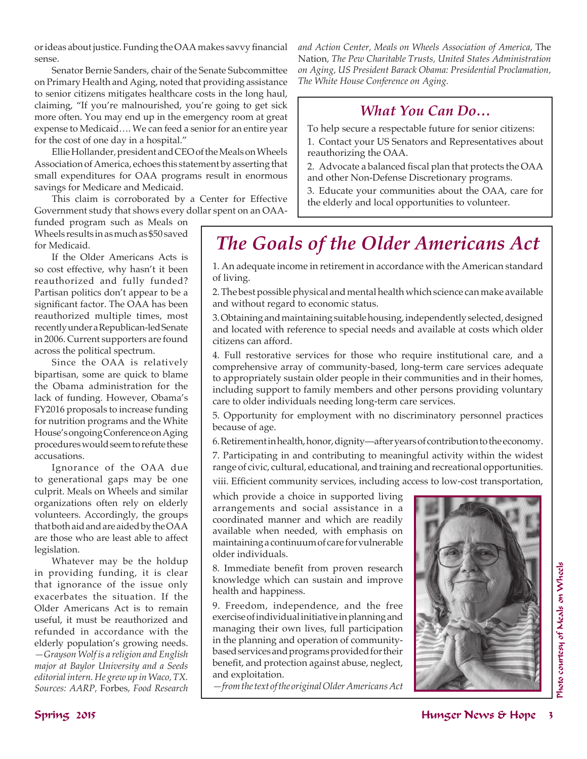or ideas about justice. Funding the OAA makes savvy financial sense.

Senator Bernie Sanders, chair of the Senate Subcommittee on Primary Health and Aging, noted that providing assistance to senior citizens mitigates healthcare costs in the long haul, claiming, "If you're malnourished, you're going to get sick more often. You may end up in the emergency room at great expense to Medicaid…. We can feed a senior for an entire year for the cost of one day in a hospital."

Ellie Hollander, president and CEO of the Meals on Wheels Association of America, echoes this statement by asserting that small expenditures for OAA programs result in enormous savings for Medicare and Medicaid.

This claim is corroborated by a Center for Effective Government study that shows every dollar spent on an OAA-

funded program such as Meals on Wheels results in as much as \$50 saved for Medicaid.

If the Older Americans Acts is so cost effective, why hasn't it been reauthorized and fully funded? Partisan politics don't appear to be a significant factor. The OAA has been reauthorized multiple times, most recently under a Republican-led Senate in 2006. Current supporters are found across the political spectrum.

Since the OAA is relatively bipartisan, some are quick to blame the Obama administration for the lack of funding. However, Obama's FY2016 proposals to increase funding for nutrition programs and the White House's ongoing Conference on Aging procedures would seem to refute these accusations.

Ignorance of the OAA due to generational gaps may be one culprit. Meals on Wheels and similar organizations often rely on elderly volunteers. Accordingly, the groups that both aid and are aided by the OAA are those who are least able to affect legislation.

Whatever may be the holdup in providing funding, it is clear that ignorance of the issue only exacerbates the situation. If the Older Americans Act is to remain useful, it must be reauthorized and refunded in accordance with the elderly population's growing needs. *—Grayson Wolf is a religion and English major at Baylor University and a Seeds editorial intern. He grew up in Waco, TX. Sources: AARP,* Forbes*, Food Research* 

*and Action Center, Meals on Wheels Association of America,* The Nation*, The Pew Charitable Trusts, United States Administration on Aging, US President Barack Obama: Presidential Proclamation, The White House Conference on Aging.*

### *What You Can Do…*

To help secure a respectable future for senior citizens:

1. Contact your US Senators and Representatives about reauthorizing the OAA.

2. Advocate a balanced fiscal plan that protects the OAA and other Non-Defense Discretionary programs.

3. Educate your communities about the OAA, care for the elderly and local opportunities to volunteer.

## *The Goals of the Older Americans Act*

1. An adequate income in retirement in accordance with the American standard of living.

2. The best possible physical and mental health which science can make available and without regard to economic status.

3. Obtaining and maintaining suitable housing, independently selected, designed and located with reference to special needs and available at costs which older citizens can afford.

4. Full restorative services for those who require institutional care, and a comprehensive array of community-based, long-term care services adequate to appropriately sustain older people in their communities and in their homes, including support to family members and other persons providing voluntary care to older individuals needing long-term care services.

5. Opportunity for employment with no discriminatory personnel practices because of age.

6. Retirement in health, honor, dignity—after years of contribution to the economy.

7. Participating in and contributing to meaningful activity within the widest range of civic, cultural, educational, and training and recreational opportunities.

viii. Efficient community services, including access to low-cost transportation,

which provide a choice in supported living arrangements and social assistance in a coordinated manner and which are readily available when needed, with emphasis on maintaining a continuum of care for vulnerable older individuals.

8. Immediate benefit from proven research knowledge which can sustain and improve health and happiness.

9. Freedom, independence, and the free exercise of individual initiative in planning and managing their own lives, full participation in the planning and operation of communitybased services and programs provided for their benefit, and protection against abuse, neglect, and exploitation.

*—from the text of the original Older Americans Act*

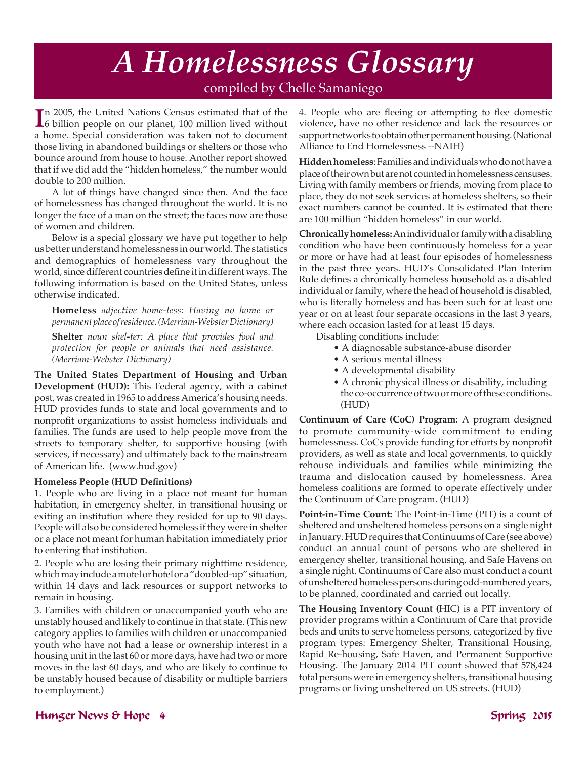## *A Homelessness Glossary* compiled by Chelle Samaniego

In 2005, the United Nations Census estimated that of the billion people on our planet, 100 million lived without n 2005, the United Nations Census estimated that of the a home. Special consideration was taken not to document those living in abandoned buildings or shelters or those who bounce around from house to house. Another report showed that if we did add the "hidden homeless," the number would double to 200 million.

A lot of things have changed since then. And the face of homelessness has changed throughout the world. It is no longer the face of a man on the street; the faces now are those of women and children.

Below is a special glossary we have put together to help us better understand homelessness in our world. The statistics and demographics of homelessness vary throughout the world, since different countries define it in different ways. The following information is based on the United States, unless otherwise indicated.

**Homeless** *adjective home-less: Having no home or permanent place of residence. (Merriam-Webster Dictionary)*

**Shelter** *noun shel-ter: A place that provides food and protection for people or animals that need assistance. (Merriam-Webster Dictionary)*

**The United States Department of Housing and Urban Development (HUD):** This Federal agency, with a cabinet post, was created in 1965 to address America's housing needs. HUD provides funds to state and local governments and to nonprofit organizations to assist homeless individuals and families. The funds are used to help people move from the streets to temporary shelter, to supportive housing (with services, if necessary) and ultimately back to the mainstream of American life. (www.hud.gov)

#### **Homeless People (HUD Definitions)**

1. People who are living in a place not meant for human habitation, in emergency shelter, in transitional housing or exiting an institution where they resided for up to 90 days. People will also be considered homeless if they were in shelter or a place not meant for human habitation immediately prior to entering that institution.

2. People who are losing their primary nighttime residence, which may include a motel or hotel or a "doubled-up" situation, within 14 days and lack resources or support networks to remain in housing.

3. Families with children or unaccompanied youth who are unstably housed and likely to continue in that state. (This new category applies to families with children or unaccompanied youth who have not had a lease or ownership interest in a housing unit in the last 60 or more days, have had two or more moves in the last 60 days, and who are likely to continue to be unstably housed because of disability or multiple barriers to employment.)

4. People who are fleeing or attempting to flee domestic violence, have no other residence and lack the resources or support networks to obtain other permanent housing. (National Alliance to End Homelessness --NAIH)

**Hidden homeless**: Families and individuals who do not have a place of their own but are not counted in homelessness censuses. Living with family members or friends, moving from place to place, they do not seek services at homeless shelters, so their exact numbers cannot be counted. It is estimated that there are 100 million "hidden homeless" in our world.

**Chronically homeless:** An individual or family with a disabling condition who have been continuously homeless for a year or more or have had at least four episodes of homelessness in the past three years. HUD's Consolidated Plan Interim Rule defines a chronically homeless household as a disabled individual or family, where the head of household is disabled, who is literally homeless and has been such for at least one year or on at least four separate occasions in the last 3 years, where each occasion lasted for at least 15 days.

Disabling conditions include:

- A diagnosable substance-abuse disorder
- A serious mental illness
- A developmental disability
- A chronic physical illness or disability, including the co-occurrence of two or more of these conditions. (HUD)

**Continuum of Care (CoC) Program**: A program designed to promote community-wide commitment to ending homelessness. CoCs provide funding for efforts by nonprofit providers, as well as state and local governments, to quickly rehouse individuals and families while minimizing the trauma and dislocation caused by homelessness. Area homeless coalitions are formed to operate effectively under the Continuum of Care program. (HUD)

**Point-in-Time Count:** The Point-in-Time (PIT) is a count of sheltered and unsheltered homeless persons on a single night in January. HUD requires that Continuums of Care (see above) conduct an annual count of persons who are sheltered in emergency shelter, transitional housing, and Safe Havens on a single night. Continuums of Care also must conduct a count of unsheltered homeless persons during odd-numbered years, to be planned, coordinated and carried out locally.

**The Housing Inventory Count (**HIC) is a PIT inventory of provider programs within a Continuum of Care that provide beds and units to serve homeless persons, categorized by five program types: Emergency Shelter, Transitional Housing, Rapid Re-housing, Safe Haven, and Permanent Supportive Housing. The January 2014 PIT count showed that 578,424 total persons were in emergency shelters, transitional housing programs or living unsheltered on US streets. (HUD)

### Hunger News & Hope 4 Spring 2015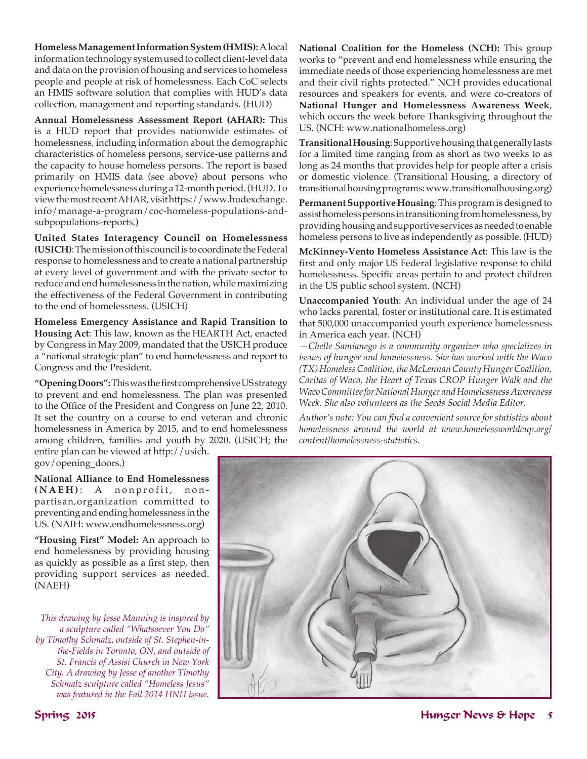**Homeless Management Information System (HMIS):** A local information technology system used to collect client-level data and data on the provision of housing and services to homeless people and people at risk of homelessness. Each CoC selects an HMIS software solution that complies with HUD's data collection, management and reporting standards. (HUD)

**Annual Homelessness Assessment Report (AHAR):** This is a HUD report that provides nationwide estimates of homelessness, including information about the demographic characteristics of homeless persons, service-use patterns and the capacity to house homeless persons. The report is based primarily on HMIS data (see above) about persons who experience homelessness during a 12-month period. (HUD. To view the most recent AHAR, visit https://www.hudexchange. info/manage-a-program/coc-homeless-populations-andsubpopulations-reports.)

**United States Interagency Council on Homelessness (USICH)**: The mission of this council is to coordinate the Federal response to homelessness and to create a national partnership at every level of government and with the private sector to reduce and end homelessness in the nation, while maximizing the effectiveness of the Federal Government in contributing to the end of homelessness. (USICH)

**Homeless Emergency Assistance and Rapid Transition to Housing Act**: This law, known as the HEARTH Act, enacted by Congress in May 2009, mandated that the USICH produce a "national strategic plan" to end homelessness and report to Congress and the President.

**"Opening Doors":** This was the first comprehensive US strategy to prevent and end homelessness. The plan was presented to the Office of the President and Congress on June 22, 2010. It set the country on a course to end veteran and chronic homelessness in America by 2015, and to end homelessness among children, families and youth by 2020. (USICH; the

entire plan can be viewed at http://usich. gov/opening\_doors.)

**National Alliance to End Homelessness (NAEH)** : A nonprofit, nonpartisan,organization committed to preventing and ending homelessness in the US. (NAIH: www.endhomelessness.org)

**"Housing First" Model:** An approach to end homelessness by providing housing as quickly as possible as a first step, then providing support services as needed. (NAEH)

*This drawing by Jesse Manning is inspired by a sculpture called "Whatsoever You Do" by Timothy Schmalz, outside of St. Stephen-inthe-Fields in Toronto, ON, and outside of St. Francis of Assisi Church in New York City. A drawing by Jesse of another Timothy Schmalz sculpture called "Homeless Jesus" was featured in the Fall 2014 HNH issue.*

**National Coalition for the Homeless (NCH):** This group works to "prevent and end homelessness while ensuring the immediate needs of those experiencing homelessness are met and their civil rights protected." NCH provides educational resources and speakers for events, and were co-creators of **National Hunger and Homelessness Awareness Week**, which occurs the week before Thanksgiving throughout the US. (NCH: www.nationalhomeless.org)

**Transitional Housing**: Supportive housing that generally lasts for a limited time ranging from as short as two weeks to as long as 24 months that provides help for people after a crisis or domestic violence. (Transitional Housing, a directory of transitional housing programs: www.transitionalhousing.org)

**Permanent Supportive Housing**: This program is designed to assist homeless persons in transitioning from homelessness, by providing housing and supportive services as needed to enable homeless persons to live as independently as possible. (HUD)

**McKinney-Vento Homeless Assistance Act**: This law is the first and only major US Federal legislative response to child homelessness. Specific areas pertain to and protect children in the US public school system. (NCH)

**Unaccompanied Youth**: An individual under the age of 24 who lacks parental, foster or institutional care. It is estimated that 500,000 unaccompanied youth experience homelessness in America each year. (NCH)

*—Chelle Samianego is a community organizer who specializes in issues of hunger and homelessness. She has worked with the Waco (TX) Homeless Coalition, the McLennan County Hunger Coalition, Caritas of Waco, the Heart of Texas CROP Hunger Walk and the Waco Committee for National Hunger and Homelessness Awareness Week. She also volunteers as the Seeds Social Media Editor.*

*Author's note: You can find a convenient source for statistics about homelessness around the world at www.homelessworldcup.org/ content/homelessness-statistics.*

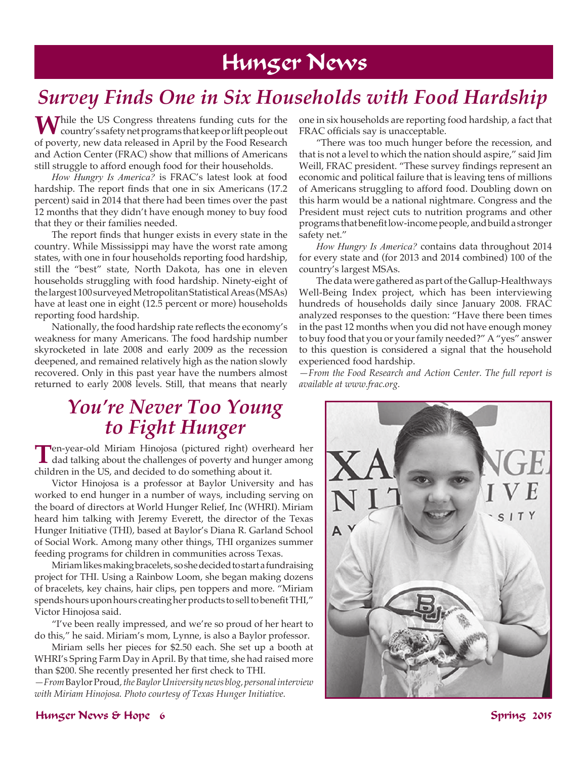## Hunger News

## *Survey Finds One in Six Households with Food Hardship*

While the US Congress threatens funding cuts for the country's safety net programs that keep or lift people out of poverty, new data released in April by the Food Research and Action Center (FRAC) show that millions of Americans still struggle to afford enough food for their households.

*How Hungry Is America?* is FRAC's latest look at food hardship. The report finds that one in six Americans (17.2 percent) said in 2014 that there had been times over the past 12 months that they didn't have enough money to buy food that they or their families needed.

The report finds that hunger exists in every state in the country. While Mississippi may have the worst rate among states, with one in four households reporting food hardship, still the "best" state, North Dakota, has one in eleven households struggling with food hardship. Ninety-eight of the largest 100 surveyed Metropolitan Statistical Areas (MSAs) have at least one in eight (12.5 percent or more) households reporting food hardship.

Nationally, the food hardship rate reflects the economy's weakness for many Americans. The food hardship number skyrocketed in late 2008 and early 2009 as the recession deepened, and remained relatively high as the nation slowly recovered. Only in this past year have the numbers almost returned to early 2008 levels. Still, that means that nearly

### *You're Never Too Young to Fight Hunger*

**T**en-year-old Miriam Hinojosa (pictured right) overheard her dad talking about the challenges of poverty and hunger among children in the US, and decided to do something about it.

Victor Hinojosa is a professor at Baylor University and has worked to end hunger in a number of ways, including serving on the board of directors at World Hunger Relief, Inc (WHRI). Miriam heard him talking with Jeremy Everett, the director of the Texas Hunger Initiative (THI), based at Baylor's Diana R. Garland School of Social Work. Among many other things, THI organizes summer feeding programs for children in communities across Texas.

Miriam likes making bracelets, so she decided to start a fundraising project for THI. Using a Rainbow Loom, she began making dozens of bracelets, key chains, hair clips, pen toppers and more. "Miriam spends hours upon hours creating her products to sell to benefit THI," Victor Hinojosa said.

"I've been really impressed, and we're so proud of her heart to do this," he said. Miriam's mom, Lynne, is also a Baylor professor.

Miriam sells her pieces for \$2.50 each. She set up a booth at WHRI's Spring Farm Day in April. By that time, she had raised more than \$200. She recently presented her first check to THI.

*—From* Baylor Proud*, the Baylor University news blog, personal interview with Miriam Hinojosa. Photo courtesy of Texas Hunger Initiative.* 

one in six households are reporting food hardship, a fact that FRAC officials say is unacceptable.

"There was too much hunger before the recession, and that is not a level to which the nation should aspire," said Jim Weill, FRAC president. "These survey findings represent an economic and political failure that is leaving tens of millions of Americans struggling to afford food. Doubling down on this harm would be a national nightmare. Congress and the President must reject cuts to nutrition programs and other programs that benefit low-income people, and build a stronger safety net."

*How Hungry Is America?* contains data throughout 2014 for every state and (for 2013 and 2014 combined) 100 of the country's largest MSAs.

The data were gathered as part of the Gallup-Healthways Well-Being Index project, which has been interviewing hundreds of households daily since January 2008. FRAC analyzed responses to the question: "Have there been times in the past 12 months when you did not have enough money to buy food that you or your family needed?" A "yes" answer to this question is considered a signal that the household experienced food hardship.

*—From the Food Research and Action Center. The full report is available at www.frac.org.*



### Hunger News & Hope 6 Spring 2015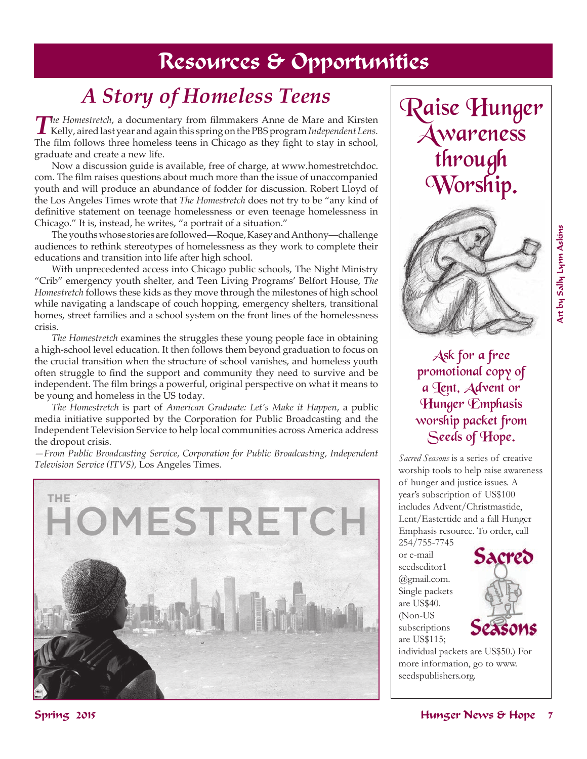## Resources & Opportunities

# *A Story of Homeless Teens*

*The Homestretch*, a documentary from filmmakers Anne de Mare and Kirsten Kelly, aired last year and again this spring on the PBS program *Independent Lens.* The film follows three homeless teens in Chicago as they fight to stay in school, graduate and create a new life.

Now a discussion guide is available, free of charge, at www.homestretchdoc. com. The film raises questions about much more than the issue of unaccompanied youth and will produce an abundance of fodder for discussion. Robert Lloyd of the Los Angeles Times wrote that *The Homestretch* does not try to be "any kind of definitive statement on teenage homelessness or even teenage homelessness in Chicago." It is, instead, he writes, "a portrait of a situation."

The youths whose stories are followed—Roque, Kasey and Anthony—challenge audiences to rethink stereotypes of homelessness as they work to complete their educations and transition into life after high school.

With unprecedented access into Chicago public schools, The Night Ministry "Crib" emergency youth shelter, and Teen Living Programs' Belfort House, *The Homestretch* follows these kids as they move through the milestones of high school while navigating a landscape of couch hopping, emergency shelters, transitional homes, street families and a school system on the front lines of the homelessness crisis.

*The Homestretch* examines the struggles these young people face in obtaining a high-school level education. It then follows them beyond graduation to focus on the crucial transition when the structure of school vanishes, and homeless youth often struggle to find the support and community they need to survive and be independent. The film brings a powerful, original perspective on what it means to be young and homeless in the US today.

*The Homestretch* is part of *American Graduate: Let's Make it Happen*, a public media initiative supported by the Corporation for Public Broadcasting and the Independent Television Service to help local communities across America address the dropout crisis.

*—From Public Broadcasting Service, Corporation for Public Broadcasting, Independent Television Service (ITVS),* Los Angeles Times.



Raise Hunger Awareness through Worship.



Ask for a free promotional copy of a Jent, Advent or Hunger Emphasis worship packet from Seeds of Hope.

*Sacred Seasons* is a series of creative worship tools to help raise awareness of hunger and justice issues. A year's subscription of US\$100 includes Advent/Christmastide, Lent/Eastertide and a fall Hunger Emphasis resource. To order, call

254/755-7745 or e-mail seedseditor1 @gmail.com. Single packets are US\$40. (Non-US subscriptions are US\$115;



individual packets are US\$50.) For more information, go to www. seedspublishers.org.